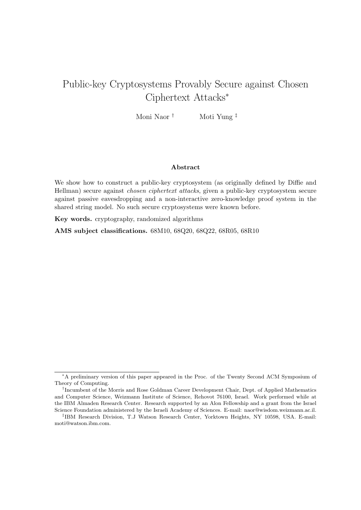# Public-key Cryptosystems Provably Secure against Chosen Ciphertext Attacks*<sup>∗</sup>*

Moni Naor *†* Moti Yung *‡*

### **Abstract**

We show how to construct a public-key cryptosystem (as originally defined by Diffie and Hellman) secure against *chosen ciphertext attacks*, given a public-key cryptosystem secure against passive eavesdropping and a non-interactive zero-knowledge proof system in the shared string model. No such secure cryptosystems were known before.

**Key words.** cryptography, randomized algorithms

**AMS subject classifications.** 68M10, 68Q20, 68Q22, 68R05, 68R10

*<sup>∗</sup>*A preliminary version of this paper appeared in the Proc. of the Twenty Second ACM Symposium of Theory of Computing.

*<sup>†</sup>* Incumbent of the Morris and Rose Goldman Career Development Chair, Dept. of Applied Mathematics and Computer Science, Weizmann Institute of Science, Rehovot 76100, Israel. Work performed while at the IBM Almaden Research Center. Research supported by an Alon Fellowship and a grant from the Israel Science Foundation administered by the Israeli Academy of Sciences. E-mail: naor@wisdom.weizmann.ac.il.

*<sup>‡</sup>* IBM Research Division, T.J Watson Research Center, Yorktown Heights, NY 10598, USA. E-mail: moti@watson.ibm.com.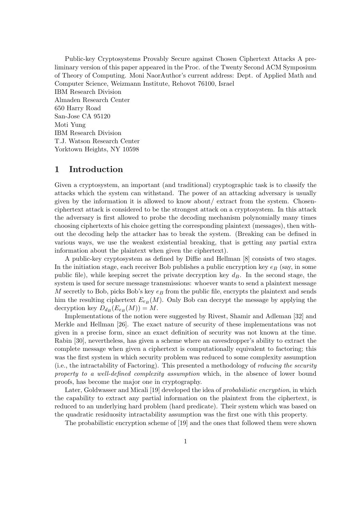Public-key Cryptosystems Provably Secure against Chosen Ciphertext Attacks A preliminary version of this paper appeared in the Proc. of the Twenty Second ACM Symposium of Theory of Computing. Moni NaorAuthor's current address: Dept. of Applied Math and Computer Science, Weizmann Institute, Rehovot 76100, Israel IBM Research Division Almaden Research Center 650 Harry Road San-Jose CA 95120 Moti Yung IBM Research Division T.J. Watson Research Center Yorktown Heights, NY 10598

# **1 Introduction**

Given a cryptosystem, an important (and traditional) cryptographic task is to classify the attacks which the system can withstand. The power of an attacking adversary is usually given by the information it is allowed to know about/ extract from the system. Chosenciphertext attack is considered to be the strongest attack on a cryptosystem. In this attack the adversary is first allowed to probe the decoding mechanism polynomially many times choosing ciphertexts of his choice getting the corresponding plaintext (messages), then without the decoding help the attacker has to break the system. (Breaking can be defined in various ways, we use the weakest existential breaking, that is getting any partial extra information about the plaintext when given the ciphertext).

A public-key cryptosystem as defined by Diffie and Hellman [8] consists of two stages. In the initiation stage, each receiver Bob publishes a public encryption key *e<sup>B</sup>* (say, in some public file), while keeping secret the private decryption key *dB*. In the second stage, the system is used for secure message transmissions: whoever wants to send a plaintext message *M* secretly to Bob, picks Bob's key *e<sup>B</sup>* from the public file, encrypts the plaintext and sends him the resulting ciphertext  $E_{e_B}(M)$ . Only Bob can decrypt the message by applying the decryption key  $D_{d_B}(E_{e_B}(M)) = M$ .

Implementations of the notion were suggested by Rivest, Shamir and Adleman [32] and Merkle and Hellman [26]. The exact nature of security of these implementations was not given in a precise form, since an exact definition of security was not known at the time. Rabin [30], nevertheless, has given a scheme where an eavesdropper's ability to extract the complete message when given a ciphertext is computationally equivalent to factoring; this was the first system in which security problem was reduced to some complexity assumption (i.e., the intractability of Factoring). This presented a methodology of *reducing the security property to a well-defined complexity assumption* which, in the absence of lower bound proofs, has become the major one in cryptography.

Later, Goldwasser and Micali [19] developed the idea of *probabilistic encryption*, in which the capability to extract any partial information on the plaintext from the ciphertext, is reduced to an underlying hard problem (hard predicate). Their system which was based on the quadratic residuosity intractability assumption was the first one with this property.

The probabilistic encryption scheme of [19] and the ones that followed them were shown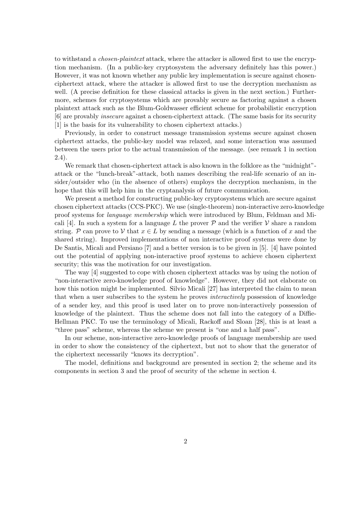to withstand a *chosen-plaintext* attack, where the attacker is allowed first to use the encryption mechanism. (In a public-key cryptosystem the adversary definitely has this power.) However, it was not known whether any public key implementation is secure against chosenciphertext attack, where the attacker is allowed first to use the decryption mechanism as well. (A precise definition for these classical attacks is given in the next section.) Furthermore, schemes for cryptosystems which are provably secure as factoring against a chosen plaintext attack such as the Blum-Goldwasser efficient scheme for probabilistic encryption [6] are provably *insecure* against a chosen-ciphertext attack. (The same basis for its security [1] is the basis for its vulnerability to chosen ciphertext attacks.)

Previously, in order to construct message transmission systems secure against chosen ciphertext attacks, the public-key model was relaxed, and some interaction was assumed between the users prior to the actual transmission of the message. (see remark 1 in section 2.4).

We remark that chosen-ciphertext attack is also known in the folklore as the "midnight"attack or the "lunch-break"-attack, both names describing the real-life scenario of an insider/outsider who (in the absence of others) employs the decryption mechanism, in the hope that this will help him in the cryptanalysis of future communication.

We present a method for constructing public-key cryptosystems which are secure against chosen ciphertext attacks (CCS-PKC). We use (single-theorem) non-interactive zero-knowledge proof systems for *language membership* which were introduced by Blum, Feldman and Micali [4]. In such a system for a language L the prover  $P$  and the verifier  $V$  share a random string. *P* can prove to *V* that  $x \in L$  by sending a message (which is a function of *x* and the shared string). Improved implementations of non interactive proof systems were done by De Santis, Micali and Persiano [7] and a better version is to be given in [5]. [4] have pointed out the potential of applying non-interactive proof systems to achieve chosen ciphertext security; this was the motivation for our investigation.

The way [4] suggested to cope with chosen ciphertext attacks was by using the notion of "non-interactive zero-knowledge proof of knowledge". However, they did not elaborate on how this notion might be implemented. Silvio Micali [27] has interpreted the claim to mean that when a user subscribes to the system he proves *interactively* possession of knowledge of a sender key, and this proof is used later on to prove non-interactively possession of knowledge of the plaintext. Thus the scheme does not fall into the category of a Diffie-Hellman PKC. To use the terminology of Micali, Rackoff and Sloan [28], this is at least a "three pass" scheme, whereas the scheme we present is "one and a half pass".

In our scheme, non-interactive zero-knowledge proofs of language membership are used in order to show the consistency of the ciphertext, but not to show that the generator of the ciphertext necessarily "knows its decryption".

The model, definitions and background are presented in section 2; the scheme and its components in section 3 and the proof of security of the scheme in section 4.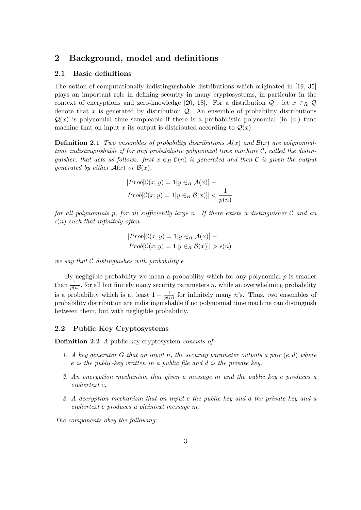# **2 Background, model and definitions**

### **2.1 Basic definitions**

The notion of computationally indistinguishable distributions which originated in [19, 35] plays an important role in defining security in many cryptosystems, in particular in the context of encryptions and zero-knowledge [20, 18]. For a distribution  $Q$ , let  $x \in_R Q$ denote that  $x$  is generated by distribution  $Q$ . An ensemble of probability distributions  $Q(x)$  is polynomial time sampleable if there is a probabilistic polynomial (in *|x*<sup>*|*</sup>) time machine that on input *x* its output is distributed according to  $Q(x)$ .

**Definition 2.1** *Two ensembles of probability distributions*  $A(x)$  *and*  $B(x)$  *are polynomialtime indistinguishable if for any probabilistic polynomial time machine C, called the distinguisher, that acts as follows: first*  $x \in_R C(n)$  *is generated and then C is given the output generated by either*  $A(x)$  *or*  $B(x)$ *,* 

$$
|Prob[\mathcal{C}(x, y) = 1 | y \in_R \mathcal{A}(x)] -
$$

$$
Prob[\mathcal{C}(x, y) = 1 | y \in_R \mathcal{B}(x)]| < \frac{1}{p(n)}
$$

*for all polynomials p, for all sufficiently large n. If there exists a distinguisher C and an*  $\epsilon(n)$  *such that infinitely often* 

$$
|Prob[\mathcal{C}(x, y) = 1 | y \in_R \mathcal{A}(x)] - Prob[\mathcal{C}(x, y) = 1 | y \in_R \mathcal{B}(x)]| > \epsilon(n)
$$

*we say that*  $\mathcal C$  *distinguishes with probability*  $\epsilon$ 

By negligible probability we mean a probability which for any polynomial *p* is smaller than  $\frac{1}{p(n)}$ , for all but finitely many security parameters *n*, while an overwhelming probability is a probability which is at least  $1 - \frac{1}{n(r)}$  $\frac{1}{p(n)}$  for infinitely many *n*'s. Thus, two ensembles of probability distribution are indistinguishable if no polynomial time machine can distinguish between them, but with negligible probability.

# **2.2 Public Key Cryptosystems**

**Definition 2.2** *A* public-key cryptosystem *consists of*

- *1. A key generator G that on input n, the security parameter outputs a pair* (*e, d*) *where e is the public-key written in a public file and d is the private key.*
- *2. An encryption mechanism that given a message m and the public key e produces a ciphertext c.*
- *3. A decryption mechanism that on input e the public key and d the private key and a ciphertext c produces a plaintext message m.*

*The components obey the following:*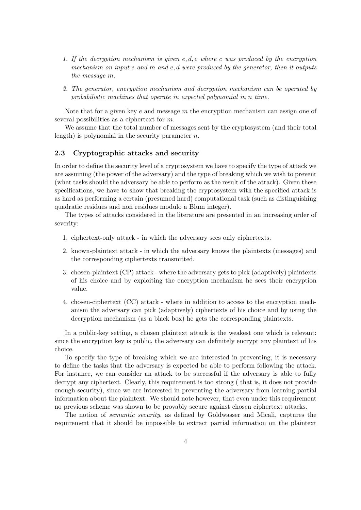- *1. If the decryption mechanism is given e, d, c where c was produced by the encryption mechanism on input e and m and e, d were produced by the generator, then it outputs the message m.*
- *2. The generator, encryption mechanism and decryption mechanism can be operated by probabilistic machines that operate in expected polynomial in n time.*

Note that for a given key *e* and message *m* the encryption mechanism can assign one of several possibilities as a ciphertext for *m*.

We assume that the total number of messages sent by the cryptosystem (and their total length) is polynomial in the security parameter *n*.

### **2.3 Cryptographic attacks and security**

In order to define the security level of a cryptosystem we have to specify the type of attack we are assuming (the power of the adversary) and the type of breaking which we wish to prevent (what tasks should the adversary be able to perform as the result of the attack). Given these specifications, we have to show that breaking the cryptosystem with the specified attack is as hard as performing a certain (presumed hard) computational task (such as distinguishing quadratic residues and non residues modulo a Blum integer).

The types of attacks considered in the literature are presented in an increasing order of severity:

- 1. ciphertext-only attack in which the adversary sees only ciphertexts.
- 2. known-plaintext attack in which the adversary knows the plaintexts (messages) and the corresponding ciphertexts transmitted.
- 3. chosen-plaintext (CP) attack where the adversary gets to pick (adaptively) plaintexts of his choice and by exploiting the encryption mechanism he sees their encryption value.
- 4. chosen-ciphertext (CC) attack where in addition to access to the encryption mechanism the adversary can pick (adaptively) ciphertexts of his choice and by using the decryption mechanism (as a black box) he gets the corresponding plaintexts.

In a public-key setting, a chosen plaintext attack is the weakest one which is relevant: since the encryption key is public, the adversary can definitely encrypt any plaintext of his choice.

To specify the type of breaking which we are interested in preventing, it is necessary to define the tasks that the adversary is expected be able to perform following the attack. For instance, we can consider an attack to be successful if the adversary is able to fully decrypt any ciphertext. Clearly, this requirement is too strong ( that is, it does not provide enough security), since we are interested in preventing the adversary from learning partial information about the plaintext. We should note however, that even under this requirement no previous scheme was shown to be provably secure against chosen ciphertext attacks.

The notion of *semantic security*, as defined by Goldwasser and Micali, captures the requirement that it should be impossible to extract partial information on the plaintext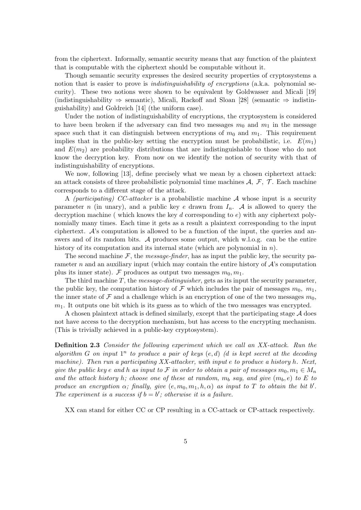from the ciphertext. Informally, semantic security means that any function of the plaintext that is computable with the ciphertext should be computable without it.

Though semantic security expresses the desired security properties of cryptosystems a notion that is easier to prove is *indistinguishability of encryptions* (a.k.a. polynomial security). These two notions were shown to be equivalent by Goldwasser and Micali [19] (indistinguishability *⇒* semantic), Micali, Rackoff and Sloan [28] (semantic *⇒* indistinguishability) and Goldreich [14] (the uniform case).

Under the notion of indistinguishability of encryptions, the cryptosystem is considered to have been broken if the adversary can find two messages  $m_0$  and  $m_1$  in the message space such that it can distinguish between encryptions of  $m_0$  and  $m_1$ . This requirement implies that in the public-key setting the encryption must be probabilistic, i.e.  $E(m_1)$ and  $E(m_2)$  are probability distributions that are indistinguishable to those who do not know the decryption key. From now on we identify the notion of security with that of indistinguishability of encryptions.

We now, following [13], define precisely what we mean by a chosen ciphertext attack: an attack consists of three probabilistic polynomial time machines *A, F, T* . Each machine corresponds to a different stage of the attack.

A *(participating) CC-attacker* is a probabilistic machine *A* whose input is a security parameter *n* (in unary), and a public key *e* drawn from  $I_n$ . A is allowed to query the decryption machine ( which knows the key *d* corresponding to *e*) with any ciphertext polynomially many times. Each time it gets as a result a plaintext corresponding to the input ciphertext. *A*'s computation is allowed to be a function of the input, the queries and answers and of its random bits. *A* produces some output, which w.l.o.g. can be the entire history of its computation and its internal state (which are polynomial in *n*).

The second machine  $F$ , the *message-finder*, has as input the public key, the security parameter *n* and an auxiliary input (which may contain the entire history of  $\mathcal{A}$ 's computation plus its inner state). *F* produces as output two messages  $m_0, m_1$ .

The third machine *T*, the *message-distinguisher*, gets as its input the security parameter, the public key, the computation history of  $\mathcal F$  which includes the pair of messages  $m_0$ ,  $m_1$ , the inner state of  $\mathcal F$  and a challenge which is an encryption of one of the two messages  $m_0$ . *m*1. It outputs one bit which is its guess as to which of the two messages was encrypted.

A chosen plaintext attack is defined similarly, except that the participating stage *A* does not have access to the decryption mechanism, but has access to the encrypting mechanism. (This is trivially achieved in a public-key cryptosystem).

**Definition 2.3** *Consider the following experiment which we call an XX-attack. Run the* algorithm *G* on input  $1^n$  to produce a pair of keys  $(e, d)$  *(d is kept secret at the decoding machine). Then run a participating XX-attacker, with input e to produce a history h. Next, give the public key e* and *h* as input to *F* in order to obtain a pair of messages  $m_0, m_1 \in M_n$ *and the attack history h*; *choose one of these at random,*  $m_b$  *say, and give*  $(m_b, e)$  *to*  $E$  *to produce an encryption*  $\alpha$ ; finally, give  $(e, m_0, m_1, h, \alpha)$  as input to T to obtain the bit  $b'$ . The experiment is a success if  $b = b'$ ; otherwise it is a failure.

XX can stand for either CC or CP resulting in a CC-attack or CP-attack respectively.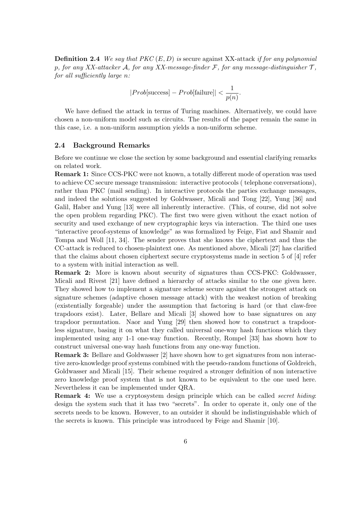**Definition 2.4** *We say that PKC* (*E, D*) *is* secure against XX-attack *if for any polynomial p, for any XX-attacker A, for any XX-message-finder F, for any message-distinguisher T , for all sufficiently large n:*

$$
|Prob[\text{success}] - Prob[\text{failure}]| < \frac{1}{p(n)}.
$$

We have defined the attack in terms of Turing machines. Alternatively, we could have chosen a non-uniform model such as circuits. The results of the paper remain the same in this case, i.e. a non-uniform assumption yields a non-uniform scheme.

#### **2.4 Background Remarks**

Before we continue we close the section by some background and essential clarifying remarks on related work.

**Remark 1:** Since CCS-PKC were not known, a totally different mode of operation was used to achieve CC secure message transmission: interactive protocols ( telephone conversations), rather than PKC (mail sending). In interactive protocols the parties exchange messages, and indeed the solutions suggested by Goldwasser, Micali and Tong [22], Yung [36] and Galil, Haber and Yung [13] were all inherently interactive. (This, of course, did not solve the open problem regarding PKC). The first two were given without the exact notion of security and used exchange of new cryptographic keys via interaction. The third one uses "interactive proof-systems of knowledge" as was formalized by Feige, Fiat and Shamir and Tompa and Woll [11, 34]. The sender proves that she knows the ciphertext and thus the CC-attack is reduced to chosen-plaintext one. As mentioned above, Micali [27] has clarified that the claims about chosen ciphertext secure cryptosystems made in section 5 of [4] refer to a system with initial interaction as well.

**Remark 2:** More is known about security of signatures than CCS-PKC: Goldwasser, Micali and Rivest [21] have defined a hierarchy of attacks similar to the one given here. They showed how to implement a signature scheme secure against the strongest attack on signature schemes (adaptive chosen message attack) with the weakest notion of breaking (existentially forgeable) under the assumption that factoring is hard (or that claw-free trapdoors exist). Later, Bellare and Micali [3] showed how to base signatures on any trapdoor permutation. Naor and Yung [29] then showed how to construct a trapdoorless signature, basing it on what they called universal one-way hash functions which they implemented using any 1-1 one-way function. Recently, Rompel [33] has shown how to construct universal one-way hash functions from any one-way function.

**Remark 3:** Bellare and Goldwasser [2] have shown how to get signatures from non interactive zero-knowledge proof systems combined with the pseudo-random functions of Goldreich, Goldwasser and Micali [15]. Their scheme required a stronger definition of non interactive zero knowledge proof system that is not known to be equivalent to the one used here. Nevertheless it can be implemented under QRA.

**Remark 4:** We use a cryptosystem design principle which can be called *secret hiding*: design the system such that it has two "secrets". In order to operate it, only one of the secrets needs to be known. However, to an outsider it should be indistinguishable which of the secrets is known. This principle was introduced by Feige and Shamir [10].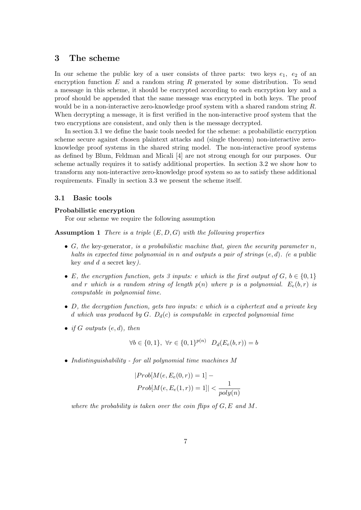# **3 The scheme**

In our scheme the public key of a user consists of three parts: two keys  $e_1$ ,  $e_2$  of an encryption function *E* and a random string *R* generated by some distribution. To send a message in this scheme, it should be encrypted according to each encryption key and a proof should be appended that the same message was encrypted in both keys. The proof would be in a non-interactive zero-knowledge proof system with a shared random string *R*. When decrypting a message, it is first verified in the non-interactive proof system that the two encryptions are consistent, and only then is the message decrypted.

In section 3.1 we define the basic tools needed for the scheme: a probabilistic encryption scheme secure against chosen plaintext attacks and (single theorem) non-interactive zeroknowledge proof systems in the shared string model. The non-interactive proof systems as defined by Blum, Feldman and Micali [4] are not strong enough for our purposes. Our scheme actually requires it to satisfy additional properties. In section 3.2 we show how to transform any non-interactive zero-knowledge proof system so as to satisfy these additional requirements. Finally in section 3.3 we present the scheme itself.

# **3.1 Basic tools**

### **Probabilistic encryption**

For our scheme we require the following assumption

**Assumption 1** *There is a triple* (*E, D, G*) *with the following properties*

- *• G, the* key-generator*, is a probabilistic machine that, given the security parameter n, halts in expected time polynomial in n and outputs a pair of strings* (*e, d*)*. (e a* public key *and d a* secret key*).*
- *E*, the encryption function, gets 3 inputs: *e* which is the first output of  $G$ ,  $b \in \{0, 1\}$ *and r* which is a random string of length  $p(n)$  where p is a polynomial.  $E_e(b,r)$  is *computable in polynomial time.*
- *• D, the decryption function, gets two inputs: c which is a ciphertext and a private key d which was produced by G. Dd*(*c*) *is computable in expected polynomial time*
- *if*  $G$  *outputs*  $(e, d)$ *, then*

$$
\forall b \in \{0, 1\}, \ \forall r \in \{0, 1\}^{p(n)} \ \ D_d(E_e(b, r)) = b
$$

*• Indistinguishability - for all polynomial time machines M*

$$
|Prob[M(e, E_e(0, r))] = 1] -
$$

$$
Prob[M(e, E_e(1, r))] = 1] < \frac{1}{poly(n)}
$$

*where the probability is taken over the coin flips of G, E and M.*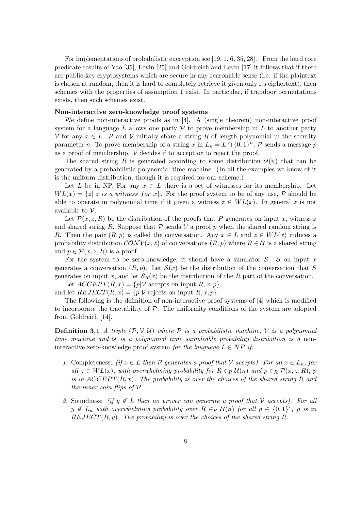For implementations of probabilistic encryption see [19, 1, 6, 35, 28]. From the hard core predicate results of Yao [35], Levin [25] and Goldreich and Levin [17] it follows that if there are public-key cryptosystems which are secure in any reasonable sense (i.e. if the plaintext is chosen at random, then it is hard to completely retrieve it given only its ciphertext), then schemes with the properties of assumption 1 exist. In particular, if trapdoor permutations exists, then such schemes exist.

#### **Non-interactive zero-knowledge proof systems**

We define non-interactive proofs as in [4]. A (single theorem) non-interactive proof system for a language  $L$  allows one party  $P$  to prove membership in  $L$  to another party *V* for any  $x \in L$ . *P* and *V* initially share a string *R* of length polynomial in the security parameter *n*. To prove membership of a string *x* in  $L_n = L \cap \{0, 1\}^n$ , *P* sends a message *p* as a proof of membership.  $V$  decides if to accept or to reject the proof.

The shared string *R* is generated according to some distribution  $\mathcal{U}(n)$  that can be generated by a probabilistic polynomial time machine. (In all the examples we know of it is the uniform distribution, though it is required for our scheme.)

Let *L* be in NP. For any  $x \in L$  there is a set of witnesses for its membership. Let  $WL(x) = \{z \mid z \text{ is a witness for } x\}$ . For the proof system to be of any use, P should be able to operate in polynomial time if it given a witness  $z \in WL(x)$ . In general z is not available to *V*.

Let  $\mathcal{P}(x, z, R)$  be the distribution of the proofs that P generates on input x, witness z and shared string *R*. Suppose that  $P$  sends  $V$  a proof p when the shared random string is *R*. Then the pair  $(R, p)$  is called the conversation. Any  $x \in L$  and  $z \in WL(x)$  induces a probability distribution  $\mathcal{CONV}(x, z)$  of conversations  $(R, p)$  where  $R \in \mathcal{U}$  is a shared string and  $p \in \mathcal{P}(x, z, R)$  is a proof.

For the system to be zero-knowledge, it should have a simulator *S*. *S* on input *x* generates a conversation  $(R, p)$ . Let  $\mathcal{S}(x)$  be the distribution of the conversation that *S* generates on input *x*, and let  $S_R(x)$  be the distribution of the *R* part of the conversation.

Let  $ACCEPT(R, x) = \{p | V \text{ accepts on input } R, x, p\},\$ and let  $REJECT(R, x) = {p|V \text{ rejects on input } R, x, p}.$ 

The following is the definition of non-interactive proof systems of [4] which is modified to incorporate the tractability of *P*. The uniformity conditions of the system are adopted from Goldreich [14].

**Definition 3.1** *A triple*  $(P, V, U)$  *where*  $P$  *is a probabilistic machine,*  $V$  *is a polynomial time machine and U is a polynomial time sampleable probability distribution is a* noninteractive zero-knowledge proof system *for the language*  $L \in NP$  *if:* 

- *1.* Completeness: (if  $x \in L$  *then*  $P$  generates a proof that  $V$  accepts). For all  $x \in L_n$ , for  $all \ z \in WL(x)$ , with overwhelming probability for  $R \in_R U(n)$  and  $p \in_R \mathcal{P}(x, z, R)$ , p *is in*  $ACCEPT(R, x)$ *. The probability is over the choices of the shared string*  $R$  and *the inner coin flips of P.*
- 2. Soundness: *(if*  $y \notin L$  *then no prover can generate a proof that*  $V$  *accepts). For all*  $y \notin L_n$  *with overwhelming probability over*  $R \in_R \mathcal{U}(n)$  *for all*  $p \in \{0,1\}^*$ , *p is in REJECT*(*R, y*)*. The probability is over the choices of the shared string R.*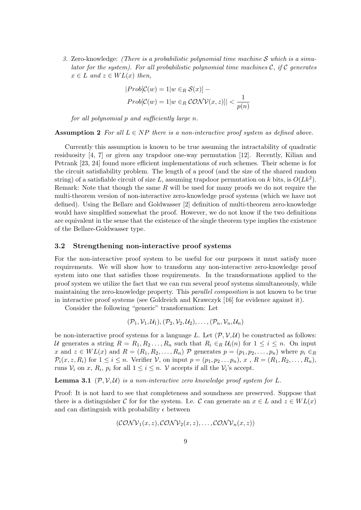*3.* Zero-knowledge: *(There is a probabilistic polynomial time machine S which is a simulator for the system). For all probabilistic polynomial time machines C, if C generates*  $x \in L$  *and*  $z \in WL(x)$  *then,* 

$$
|Prob[\mathcal{C}(w) = 1|w \in_R \mathcal{S}(x)] -
$$

$$
Prob[\mathcal{C}(w) = 1|w \in_R \mathcal{CONV}(x, z)]| < \frac{1}{p(n)}
$$

*for all polynomial p and sufficiently large n.*

**Assumption 2** For all  $L \in NP$  there is a non-interactive proof system as defined above.

Currently this assumption is known to be true assuming the intractability of quadratic residuosity [4, 7] or given any trapdoor one-way permutation [12]. Recently, Kilian and Petrank [23, 24] found more efficient implementations of such schemes. Their scheme is for the circuit satisfiability problem. The length of a proof (and the size of the shared random string) of a satisfiable circuit of size  $L$ , assuming trapdoor permutation on  $k$  bits, is  $O(Lk^2)$ . Remark: Note that though the same *R* will be used for many proofs we do not require the multi-theorem version of non-interactive zero-knowledge proof systems (which we have not defined). Using the Bellare and Goldwasser [2] definition of multi-theorem zero-knowledge would have simplified somewhat the proof. However, we do not know if the two definitions are equivalent in the sense that the existence of the single theorem type implies the existence of the Bellare-Goldwasser type.

#### **3.2 Strengthening non-interactive proof systems**

For the non-interactive proof system to be useful for our purposes it must satisfy more requirements. We will show how to transform any non-interactive zero-knowledge proof system into one that satisfies those requirements. In the transformations applied to the proof system we utilize the fact that we can run several proof systems simultaneously, while maintaining the zero-knowledge property. This *parallel composition* is not known to be true in interactive proof systems (see Goldreich and Krawczyk [16] for evidence against it).

Consider the following "generic" transformation: Let

$$
(\mathcal{P}_1,\mathcal{V}_1,\mathcal{U}_1),(\mathcal{P}_2,\mathcal{V}_2,\mathcal{U}_2),\ldots,(\mathcal{P}_n,\mathcal{V}_n,\mathcal{U}_n)
$$

be non-interactive proof systems for a language L. Let  $(\mathcal{P}, \mathcal{V}, \mathcal{U})$  be constructed as follows: *U* generates a string  $R = R_1, R_2, \ldots, R_n$  such that  $R_i \in_R \mathcal{U}_i(n)$  for  $1 \leq i \leq n$ . On input x and  $z \in WL(x)$  and  $R = (R_1, R_2, \ldots, R_n)$   $\mathcal P$  generates  $p = (p_1, p_2, \ldots, p_n)$  where  $p_i \in R$  $\mathcal{P}_i(x, z, R_i)$  for  $1 \leq i \leq n$ . Verifier V, on input  $p = (p_1, p_2 \ldots p_n), x$ ,  $R = (R_1, R_2, \ldots, R_n)$ , runs  $V_i$  on *x*,  $R_i$ ,  $p_i$  for all  $1 \leq i \leq n$ . *V* accepts if all the  $V_i$ 's accept.

**Lemma 3.1**  $(P, V, U)$  *is a non-interactive zero knowledge proof system for*  $L$ *.* 

Proof: It is not hard to see that completeness and soundness are preserved. Suppose that there is a distinguisher *C* for for the system. I.e. *C* can generate an  $x \in L$  and  $z \in WL(x)$ and can distinguish with probability  $\epsilon$  between

$$
(\mathcal{CONV}_1(x,z), \mathcal{CONV}_2(x,z), \ldots, \mathcal{CONV}_n(x,z))
$$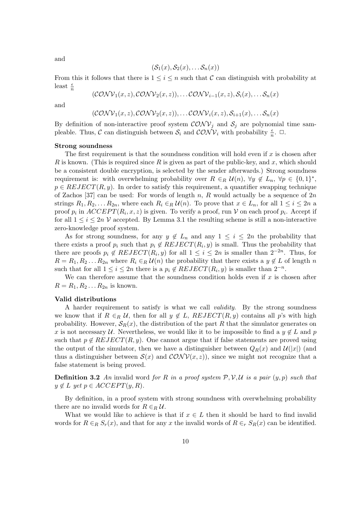and

$$
(\mathcal{S}_1(x), \mathcal{S}_2(x), \ldots \mathcal{S}_n(x))
$$

From this it follows that there is  $1 \leq i \leq n$  such that *C* can distinguish with probability at least  $\frac{\epsilon}{n}$ 

$$
(\mathcal{CONV}_1(x,z), \mathcal{CONV}_2(x,z)), \ldots \mathcal{CONV}_{i-1}(x,z), \mathcal{S}_i(x), \ldots \mathcal{S}_n(x)
$$

and

$$
(\mathcal{CONV}_1(x,z), \mathcal{CONV}_2(x,z)), \ldots \mathcal{CONV}_i(x,z), \mathcal{S}_{i+1}(x), \ldots \mathcal{S}_n(x)
$$

By definition of non-interactive proof system  $\mathcal{CONV}_i$  and  $\mathcal{S}_i$  are polynomial time sampleable. Thus, *C* can distinguish between  $S_i$  and  $\mathcal{CONV}_i$  with probability  $\frac{\epsilon}{n}$ .  $\Box$ .

#### **Strong soundness**

The first requirement is that the soundness condition will hold even if *x* is chosen after *R* is known. (This is required since *R* is given as part of the public-key, and *x*, which should be a consistent double encryption, is selected by the sender afterwards.) Strong soundness requirement is: with overwhelming probability over  $R \in_R \mathcal{U}(n)$ ,  $\forall y \notin L_n$ ,  $\forall p \in \{0,1\}^*$ ,  $p \in REJECT(R, y)$ . In order to satisfy this requirement, a quantifier swapping technique of Zachos [37] can be used: For words of length *n*, *R* would actually be a sequence of 2*n* strings  $R_1, R_2, \ldots R_{2n}$ , where each  $R_i \in_R \mathcal{U}(n)$ . To prove that  $x \in L_n$ , for all  $1 \leq i \leq 2n$  a proof  $p_i$  in  $ACCEPT(R_i, x, z)$  is given. To verify a proof, run *V* on each proof  $p_i$ . Accept if for all  $1 \leq i \leq 2n$  *V* accepted. By Lemma 3.1 the resulting scheme is still a non-interactive zero-knowledge proof system.

As for strong soundness, for any  $y \notin L_n$  and any  $1 \leq i \leq 2n$  the probability that there exists a proof  $p_i$  such that  $p_i \notin REJECT(R_i, y)$  is small. Thus the probability that there are proofs  $p_i \notin REJECT(R_i, y)$  for all  $1 \leq i \leq 2n$  is smaller than  $2^{-2n}$ . Thus, for  $R = R_1, R_2, \ldots, R_{2n}$  where  $R_i \in_R \mathcal{U}(n)$  the probability that there exists a  $y \notin L$  of length *n* such that for all  $1 \leq i \leq 2n$  there is a  $p_i \notin REJECT(R_i, y)$  is smaller than  $2^{-n}$ .

We can therefore assume that the soundness condition holds even if *x* is chosen after  $R = R_1, R_2, \ldots R_{2n}$  is known.

#### **Valid distributions**

A harder requirement to satisfy is what we call *validity*. By the strong soundness we know that if  $R \in_R U$ , then for all  $y \notin L$ ,  $REJECT(R, y)$  contains all p's with high probability. However,  $S_R(x)$ , the distribution of the part R that the simulator generates on *x* is not necessary *U*. Nevertheless, we would like it to be impossible to find a  $y \notin L$  and  $p$ such that  $p \notin REJECT(R, y)$ . One cannot argue that if false statements are proved using the output of the simulator, then we have a distinguisher between  $Q_R(x)$  and  $\mathcal{U}(|x|)$  (and thus a distinguisher between  $S(x)$  and  $\mathcal{CONV}(x, z)$ , since we might not recognize that a false statement is being proved.

**Definition 3.2** An invalid word for R in a proof system  $P$ ,  $V$ ,  $U$  is a pair  $(y, p)$  such that  $y \notin L$   $yet p \in ACCEPT(y, R)$ .

By definition, in a proof system with strong soundness with overwhelming probability there are no invalid words for  $R \in_R U$ .

What we would like to achieve is that if  $x \in L$  then it should be hard to find invalid words for  $R \in_R S_r(x)$ , and that for any *x* the invalid words of  $R \in_R S_R(x)$  can be identified.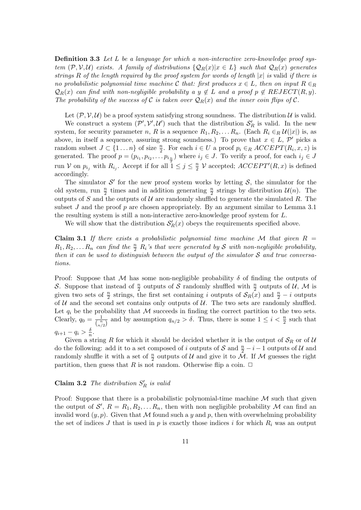**Definition 3.3** *Let L be a language for which a non-interactive zero-knowledge proof sys*tem  $(\mathcal{P},\mathcal{V},\mathcal{U})$  exists. A family of distributions  $\{Q_R(x)|x\in L\}$  such that  $Q_R(x)$  generates *strings R of the length required by the proof system for words of length |x| is* valid *if there is no probabilistic polynomial time machine*  $\mathcal{C}$  *that: first produces*  $x \in L$ *, then on input*  $R \in_R$  $Q_R(x)$  *can find with non-negligible probability a*  $y \notin L$  *and a proof*  $p \notin REJECT(R, y)$ . *The probability of the success of*  $C$  *is taken over*  $Q_R(x)$  *and the inner coin flips of*  $C$ *.* 

Let  $(\mathcal{P}, \mathcal{V}, \mathcal{U})$  be a proof system satisfying strong soundness. The distribution  $\mathcal{U}$  is valid.

We construct a system  $(P', V', U')$  such that the distribution  $S'_R$  is valid. In the new system, for security parameter *n*, *R* is a sequence  $R_1, R_2, \ldots, R_n$ . (Each  $R_i \in_R \mathcal{U}(|x|)$  is, as above, in itself a sequence, assuring strong soundness.) To prove that  $x \in L$ ,  $\mathcal{P}'$  picks a random subset  $J \subset \{1 \dots n\}$  of size  $\frac{n}{2}$ . For each  $i \in U$  a proof  $p_i \in_R ACCEPT(R_i, x, z)$  is generated. The proof  $p = (p_{i_1}, p_{i_2}, \ldots, p_{i_{\frac{n}{n}}})$  where  $i_j \in J$ . To verify a proof, for each  $i_j \in J$ run *V* on  $p_{i_j}$  with  $R_{i_j}$ . Accept if for all  $1 \leq j \leq \frac{n}{2}$  $\frac{n}{2}$   $\mathcal{V}$  accepted;  $ACCEPT'(R, x)$  is defined accordingly.

The simulator  $\mathcal{S}'$  for the new proof system works by letting  $\mathcal{S}$ , the simulator for the old system, run  $\frac{n}{2}$  times and in addition generating  $\frac{n}{2}$  strings by distribution  $\mathcal{U}(n)$ . The outputs of *S* and the outputs of  $U$  are randomly shuffled to generate the simulated  $R$ . The subset *J* and the proof *p* are chosen appropriately. By an argument similar to Lemma 3.1 the resulting system is still a non-interactive zero-knowledge proof system for *L*.

We will show that the distribution  $S'_R(x)$  obeys the requirements specified above.

**Claim 3.1** If there exists a probabilistic polynomial time machine  $M$  that given  $R =$  $R_1, R_2, \ldots, R_n$  *can find the*  $\frac{n}{2}$   $R_i$ 's that were generated by *S* with non-negligible probability, *then it can be used to distinguish between the output of the simulator S and true conversations.*

Proof: Suppose that *M* has some non-negligible probability *δ* of finding the outputs of S. Suppose that instead of  $\frac{n}{2}$  outputs of S randomly shuffled with  $\frac{n}{2}$  outputs of *U*, M is given two sets of  $\frac{n}{2}$  strings, the first set containing *i* outputs of  $\mathcal{S}_R(x)$  and  $\frac{n}{2} - i$  outputs of  $U$  and the second set contains only outputs of  $U$ . The two sets are randomly shuffled. Let  $q_i$  be the probability that  $M$  succeeds in finding the correct partition to the two sets. Clearly,  $q_0 = \frac{1}{\sqrt{n}}$  $\frac{1}{\binom{n}{n/2}}$  and by assumption  $q_{n/2} > \delta$ . Thus, there is some  $1 \leq i < \frac{n}{2}$  such that  $q_{i+1} - q_i > \frac{\delta}{n}$  $\frac{\delta}{n}$ .

Given a string *R* for which it should be decided whether it is the output of  $S_R$  or of *U* do the following: add it to a set composed of *i* outputs of  $S$  and  $\frac{n}{2} - i - 1$  outputs of  $U$  and randomly shuffle it with a set of  $\frac{n}{2}$  outputs of *U* and give it to  $\tilde{M}$ . If *M* guesses the right partition, then guess that *R* is not random. Otherwise flip a coin.  $\Box$ 

# **Claim 3.2** *The distribution*  $S'_R$  *is valid*

Proof: Suppose that there is a probabilistic polynomial-time machine *M* such that given the output of  $\mathcal{S}'$ ,  $R = R_1, R_2, \ldots R_n$ , then with non negligible probability  $\mathcal M$  can find an invalid word  $(y, p)$ . Given that M found such a y and p, then with overwhelming probability the set of indices *J* that is used in  $p$  is exactly those indices *i* for which  $R_i$  was an output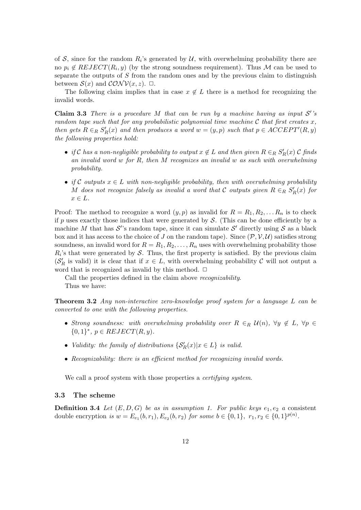of  $S$ , since for the random  $R_i$ 's generated by  $U$ , with overwhelming probability there are no  $p_i \notin REJECT(R_i, y)$  (by the strong soundness requirement). Thus *M* can be used to separate the outputs of *S* from the random ones and by the previous claim to distinguish between  $S(x)$  and  $\mathcal{CONV}(x, z)$ .  $\Box$ .

The following claim implies that in case  $x \notin L$  there is a method for recognizing the invalid words.

**Claim 3.3** *There is a procedure*  $M$  *that can be run by a machine having as input*  $S'$ 's *random tape such that for any probabilistic polynomial time machine C that first creates x, then gets*  $R \in_R S_R'(x)$  *and then produces a word*  $w = (y, p)$  *such that*  $p \in ACCEPT'(R, y)$ *the following properties hold:*

- $\bullet$  *if*  $\mathcal{C}$  *has a non-negligible probability to output*  $x \notin L$  *and then given*  $R \in R$   $S'_R(x)$   $\mathcal{C}$  *finds an invalid word w for R, then M recognizes an invalid w as such with overwhelming probability.*
- *if*  $C$  *outputs*  $x \in L$  *with non-negligible probability, then with overwhelming probability M* does not recognize falsely as invalid a word that  $C$  outputs given  $R \in_R S_R'(x)$  for  $x \in L$ *.*

Proof: The method to recognize a word  $(y, p)$  as invalid for  $R = R_1, R_2, \ldots R_n$  is to check if *p* uses exactly those indices that were generated by *S*. (This can be done efficiently by a machine *M* that has  $\mathcal{S}'$ 's random tape, since it can simulate  $\mathcal{S}'$  directly using  $\mathcal{S}$  as a black box and it has access to the choice of *J* on the random tape). Since  $(\mathcal{P}, \mathcal{V}, \mathcal{U})$  satisfies strong soundness, an invalid word for  $R = R_1, R_2, \ldots, R_n$  uses with overwhelming probability those  $R_i$ 's that were generated by  $S$ . Thus, the first property is satisfied. By the previous claim  $(\mathcal{S}'_R)$  is valid) it is clear that if  $x \in L$ , with overwhelming probability  $\mathcal C$  will not output a word that is recognized as invalid by this method.  $\Box$ 

Call the properties defined in the claim above *recognizability*. Thus we have:

**Theorem 3.2** *Any non-interactive zero-knowledge proof system for a language L can be converted to one with the following properties.*

- *Strong soundness: with overwhelming probability over*  $R \in_R \mathcal{U}(n)$ ,  $\forall y \notin L$ ,  $\forall p \in L$  ${0, 1}^*$ ,  $p \in REJECT(R, y)$ *.*
- *Validity: the family of distributions*  $\{S'_R(x)|x \in L\}$  *is valid.*
- *• Recognizability: there is an efficient method for recognizing invalid words.*

We call a proof system with those properties a *certifying system*.

#### **3.3 The scheme**

**Definition 3.4** *Let*  $(E, D, G)$  *be as in assumption 1. For public keys*  $e_1, e_2$  *a* consistent double encryption is  $w = E_{e_1}(b, r_1), E_{e_2}(b, r_2)$  for some  $b \in \{0, 1\}, r_1, r_2 \in \{0, 1\}^{p(n)}$ .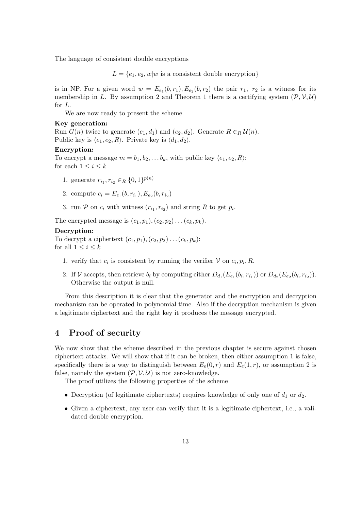The language of consistent double encryptions

 $L = \{e_1, e_2, w | w$  is a consistent double encryption

is in NP. For a given word  $w = E_{e_1}(b, r_1), E_{e_2}(b, r_2)$  the pair  $r_1$ ,  $r_2$  is a witness for its membership in *L*. By assumption 2 and Theorem 1 there is a certifying system  $(\mathcal{P}, \mathcal{V}, \mathcal{U})$ for *L*.

We are now ready to present the scheme

### **Key generation:**

Run  $G(n)$  twice to generate  $(e_1, d_1)$  and  $(e_2, d_2)$ . Generate  $R \in_R \mathcal{U}(n)$ . Public key is  $\langle e_1, e_2, R \rangle$ . Private key is  $\langle d_1, d_2 \rangle$ .

#### **Encryption:**

To encrypt a message  $m = b_1, b_2, \ldots, b_k$ , with public key  $\langle e_1, e_2, R \rangle$ : for each  $1 \leq i \leq k$ 

- 1. generate  $r_{i_1}, r_{i_2} \in_R \{0, 1\}^{p(n)}$
- 2. compute  $c_i = E_{e_1}(b, r_{i_1}), E_{e_2}(b, r_{i_2})$
- 3. run  $P$  on  $c_i$  with witness  $(r_{i_1}, r_{i_2})$  and string  $R$  to get  $p_i$ .

The encrypted message is  $(c_1, p_1), (c_2, p_2) \ldots (c_k, p_k)$ .

#### **Decryption:**

To decrypt a ciphertext  $(c_1, p_1), (c_2, p_2) \ldots (c_k, p_k)$ : for all  $1 \leq i \leq k$ 

- 1. verify that  $c_i$  is consistent by running the verifier  $V$  on  $c_i, p_i, R$ .
- 2. If V accepts, then retrieve  $b_i$  by computing either  $D_{d_1}(E_{e_1}(b_i,r_{i_1}))$  or  $D_{d_2}(E_{e_2}(b_i,r_{i_2}))$ . Otherwise the output is null.

From this description it is clear that the generator and the encryption and decryption mechanism can be operated in polynomial time. Also if the decryption mechanism is given a legitimate ciphertext and the right key it produces the message encrypted.

# **4 Proof of security**

We now show that the scheme described in the previous chapter is secure against chosen ciphertext attacks. We will show that if it can be broken, then either assumption 1 is false, specifically there is a way to distinguish between  $E_e(0,r)$  and  $E_e(1,r)$ , or assumption 2 is false, namely the system  $(\mathcal{P}, \mathcal{V}, \mathcal{U})$  is not zero-knowledge.

The proof utilizes the following properties of the scheme

- Decryption (of legitimate ciphertexts) requires knowledge of only one of  $d_1$  or  $d_2$ .
- Given a ciphertext, any user can verify that it is a legitimate ciphertext, i.e., a validated double encryption.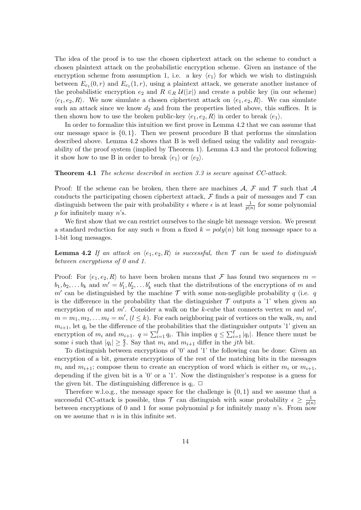The idea of the proof is to use the chosen ciphertext attack on the scheme to conduct a chosen plaintext attack on the probabilistic encryption scheme. Given an instance of the encryption scheme from assumption 1, i.e. a key  $\langle e_1 \rangle$  for which we wish to distinguish between  $E_{e_1}(0,r)$  and  $E_{e_1}(1,r)$ , using a plaintext attack, we generate another instance of the probabilistic encryption  $e_2$  and  $R \in_R \mathcal{U}(|x|)$  and create a public key (in our scheme)  $\langle e_1, e_2, R \rangle$ . We now simulate a chosen ciphertext attack on  $\langle e_1, e_2, R \rangle$ . We can simulate such an attack since we know  $d_2$  and from the properties listed above, this suffices. It is then shown how to use the broken public-key  $\langle e_1, e_2, R \rangle$  in order to break  $\langle e_1 \rangle$ .

In order to formalize this intuition we first prove in Lemma 4.2 that we can assume that our message space is *{*0*,* 1*}*. Then we present procedure B that performs the simulation described above. Lemma 4.2 shows that B is well defined using the validity and recognizability of the proof system (implied by Theorem 1). Lemma 4.3 and the protocol following it show how to use B in order to break  $\langle e_1 \rangle$  or  $\langle e_2 \rangle$ .

#### **Theorem 4.1** *The scheme described in section 3.3 is secure against CC-attack.*

Proof: If the scheme can be broken, then there are machines  $A$ ,  $F$  and  $T$  such that  $A$ conducts the participating chosen ciphertext attack,  $\mathcal F$  finds a pair of messages and  $\mathcal T$  can distinguish between the pair with probability  $\epsilon$  where  $\epsilon$  is at least  $\frac{1}{p(n)}$  for some polynomial *p* for infinitely many *n*'s.

We first show that we can restrict ourselves to the single bit message version. We present a standard reduction for any such *n* from a fixed  $k = poly(n)$  bit long message space to a 1-bit long messages.

**Lemma 4.2** If an attack on  $\langle e_1, e_2, R \rangle$  is successful, then  $\mathcal T$  can be used to distinguish *between encryptions of 0 and 1.*

Proof: For  $\langle e_1, e_2, R \rangle$  to have been broken means that F has found two sequences  $m =$  $b_1, b_2, \ldots b_k$  and  $m' = b'_1, b'_2, \ldots b'_k$  such that the distributions of the encryptions of *m* and  $m'$  can be distinguished by the machine  $\mathcal T$  with some non-negligible probability  $q$  (i.e.  $q$ is the difference in the probability that the distinguisher  $\mathcal T$  outputs a '1' when given an encryption of *m* and *m′* . Consider a walk on the *k*-cube that connects vertex *m* and *m′* ,  $m = m_1, m_2, \ldots, m_\ell = m'$ ,  $(l \leq k)$ . For each neighboring pair of vertices on the walk,  $m_i$  and  $m_{i+1}$ , let  $q_i$  be the difference of the probabilities that the distinguisher outputs '1' given an encryption of  $m_i$  and  $m_{i+1}$ .  $q = \sum_{i=1}^{\ell} q_i$ . This implies  $q \leq \sum_{i=1}^{\ell} |q_i|$ . Hence there must be some *i* such that  $|q_i| \geq \frac{q}{\ell}$ . Say that  $m_i$  and  $m_{i+1}$  differ in the *jth* bit.

To distinguish between encryptions of '0' and '1' the following can be done: Given an encryption of a bit, generate encryptions of the rest of the matching bits in the messages  $m_i$  and  $m_{i+1}$ ; compose them to create an encryption of word which is either  $m_i$  or  $m_{i+1}$ , depending if the given bit is a '0' or a '1'. Now the distinguisher's response is a guess for the given bit. The distinguishing difference is  $q_i$ .  $\Box$ 

Therefore w.l.o.g., the message space for the challenge is *{*0*,* 1*}* and we assume that a successful CC-attack is possible, thus  $\mathcal T$  can distinguish with some probability  $\epsilon \geq \frac{1}{n(n+1)}$ *p*(*n*) between encryptions of 0 and 1 for some polynomial  $p$  for infinitely many  $n$ 's. From now on we assume that *n* is in this infinite set.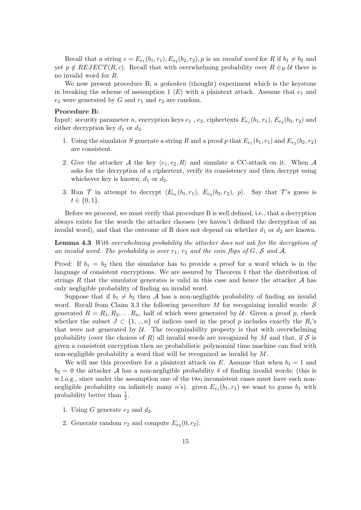Recall that a string  $c = E_{e_1}(b_1, r_1), E_{e_2}(b_2, r_2), p$  is an *invalid word* for  $R$  if  $b_1 \neq b_2$  and yet  $p \notin REJECT(R, c)$ . Recall that with overwhelming probability over  $R \in_R U$  there is no invalid word for *R*.

We now present procedure B, a *gedanken* (thought) experiment which is the keystone in breaking the scheme of assumption 1  $\langle E \rangle$  with a plaintext attack. Assume that  $e_1$  and  $e_2$  were generated by *G* and  $r_1$  and  $r_2$  are random.

#### **Procedure B:**

Input: security parameter *n*, encryption keys  $e_1$ ,  $e_2$ , ciphertexts  $E_{e_1}(b_1, r_1)$ ,  $E_{e_2}(b_2, r_2)$  and either decryption key  $d_1$  or  $d_2$ .

- 1. Using the simulator *S* generate a string *R* and a proof *p* that  $E_{e_1}(b_1, r_1)$  and  $E_{e_2}(b_2, r_2)$ are consistent.
- 2. Give the attacker *A* the key  $\langle e_1, e_2, R \rangle$  and simulate a CC-attack on it. When *A* asks for the decryption of a ciphertext, verify its consistency and then decrypt using whichever key is known,  $d_1$  or  $d_2$ .
- 3. Run  $\mathcal{T}$  in attempt to decrypt  $\langle E_{e_1}(b_1, r_1), E_{e_2}(b_2, r_2), p \rangle$ . Say that  $\mathcal{T}$ 's guess is *t ∈ {*0*,* 1*}*.

Before we proceed, we must verify that procedure B is well defined, i.e., that a decryption always exists for the words the attacker chooses (we haven't defined the decryption of an invalid word), and that the outcome of B does not depend on whether  $d_1$  or  $d_2$  are known.

**Lemma 4.3** *With overwhelming probability the attacker does not ask for the decryption of* an invalid word. The probability is over  $r_1$ ,  $r_2$  and the coin flips of  $G$ ,  $S$  and  $A$ .

Proof: If  $b_1 = b_2$  then the simulator has to provide a proof for a word which is in the language of consistent encryptions. We are assured by Theorem 1 that the distribution of strings  $R$  that the simulator generates is valid in this case and hence the attacker  $A$  has only negligible probability of finding an invalid word.

Suppose that if  $b_1 \neq b_2$  then *A* has a non-negligible probability of finding an invalid word. Recall from Claim 3.3 the following procedure *M* for recognizing invalid words: *S* generated  $R = R_1, R_2, \ldots, R_n$ , half of which were generated by *U*. Given a proof *p*, check whether the subset  $J \subset \{1, ..., n\}$  of indices used in the proof *p* includes exactly the  $R_i$ 's that were not generated by  $U$ . The recognizability property is that with overwhelming probability (over the choices of *R*) all invalid words are recognized by *M* and that, if  $S$  is given a consistent encryption then no probabilistic polynomial time machine can find with non-negligible probability a word that will be recognized as invalid by *M*.

We will use this procedure for a plaintext attack on *E*. Assume that when  $b_1 = 1$  and  $b_2 = 0$  the attacker *A* has a non-negligible probability *δ* of finding invalid words; (this is w.l.o.g., since under the assumption one of the two inconsistent cases must have such nonnegligible probability on infinitely many *n*'s). given  $E_{e_1}(b_1, r_1)$  we want to guess  $b_1$  with probability better than  $\frac{1}{2}$ .

- 1. Using  $G$  generate  $e_2$  and  $d_2$ .
- 2. Generate random  $r_2$  and compute  $E_{e_2}(0, r_2)$ .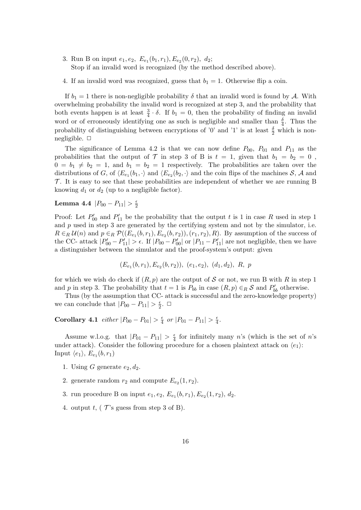- 3. Run B on input  $e_1, e_2, E_{e_1}(b_1, r_1), E_{e_2}(0, r_2), d_2;$ Stop if an invalid word is recognized (by the method described above).
- 4. If an invalid word was recognized, guess that  $b_1 = 1$ . Otherwise flip a coin.

If  $b_1 = 1$  there is non-negligible probability  $\delta$  that an invalid word is found by *A*. With overwhelming probability the invalid word is recognized at step 3, and the probability that both events happen is at least  $\frac{3}{4} \cdot \delta$ . If  $b_1 = 0$ , then the probability of finding an invalid word or of erroneously identifying one as such is negligible and smaller than  $\frac{\delta}{4}$ . Thus the probability of distinguishing between encryptions of '0' and '1' is at least  $\frac{\delta}{2}$  which is nonnegligible. *✷*

The significance of Lemma 4.2 is that we can now define  $P_{00}$ ,  $P_{01}$  and  $P_{11}$  as the probabilities that the output of  $\mathcal T$  in step 3 of B is  $t = 1$ , given that  $b_1 = b_2 = 0$ ,  $0 = b_1 \neq b_2 = 1$ , and  $b_1 = b_2 = 1$  respectively. The probabilities are taken over the distributions of *G*, of  $\langle E_{e_1}(b_1, \cdot \rangle)$  and  $\langle E_{e_2}(b_2, \cdot \rangle)$  and the coin flips of the machines *S*, *A* and  $\mathcal T$ . It is easy to see that these probabilities are independent of whether we are running B knowing  $d_1$  or  $d_2$  (up to a negligible factor).

#### **Lemma 4.4**  $|P_{00} - P_{11}| > \frac{\epsilon}{2}$ 2

Proof: Let  $P'_{00}$  and  $P'_{11}$  be the probability that the output *t* is 1 in case R used in step 1 and p used in step 3 are generated by the certifying system and not by the simulator, i.e.  $R \in_R \mathcal{U}(n)$  and  $p \in_R \mathcal{P}((E_{e_1}(b,r_1),E_{e_2}(b,r_2)),(r_1,r_2),R)$ . By assumption of the success of the CC- attack  $|P'_{00} - P'_{11}| > \epsilon$ . If  $|P_{00} - P'_{00}|$  or  $|P_{11} - P'_{11}|$  are not negligible, then we have a distinguisher between the simulator and the proof-system's output: given

$$
(E_{e_1}(b, r_1), E_{e_2}(b, r_2)), (e_1, e_2), (d_1, d_2), R, p
$$

for which we wish do check if  $(R, p)$  are the output of *S* or not, we run B with *R* in step 1 and *p* in step 3. The probability that  $t = 1$  is  $P_{bb}$  in case  $(R, p) \in_R \mathcal{S}$  and  $P'_{bb}$  otherwise.

Thus (by the assumption that CC- attack is successful and the zero-knowledge property) we can conclude that  $|P_{00} - P_{11}| > \frac{\epsilon}{2}$  $\frac{\epsilon}{2}$ .  $\Box$ 

**Corollary 4.1**  $\text{either } |P_{00} - P_{01}| > \frac{\epsilon}{4}$  $\frac{\epsilon}{4}$  *or*  $|P_{01} - P_{11}| > \frac{\epsilon}{4}$  $\frac{\epsilon}{4}$ .

Assume w.l.o.g. that  $|P_{01} - P_{11}| > \frac{\epsilon}{4}$  $\frac{\epsilon}{4}$  for infinitely many *n*'s (which is the set of *n*'s under attack). Consider the following procedure for a chosen plaintext attack on  $\langle e_1 \rangle$ : Input  $\langle e_1 \rangle$ ,  $E_{e_1}(b, r_1)$ 

- 1. Using *G* generate  $e_2, d_2$ .
- 2. generate random  $r_2$  and compute  $E_{e_2}(1, r_2)$ .
- 3. run procedure B on input  $e_1, e_2, E_{e_1}(b, r_1), E_{e_2}(1, r_2), d_2$ .
- 4. output  $t$ , ( $\mathcal{T}$ 's guess from step 3 of B).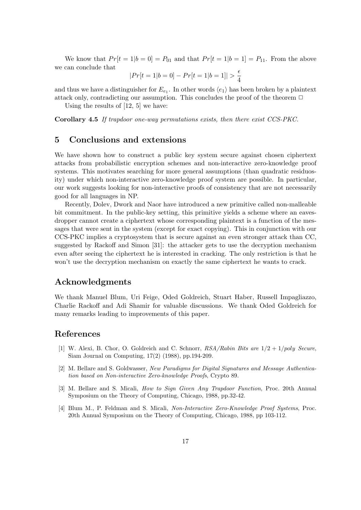We know that  $Pr[t = 1|b = 0] = P_{01}$  and that  $Pr[t = 1|b = 1] = P_{11}$ . From the above we can conclude that

$$
|Pr[t = 1|b = 0] - Pr[t = 1|b = 1]| > \frac{\epsilon}{4}
$$

and thus we have a distinguisher for  $E_{e_1}$ . In other words  $\langle e_1 \rangle$  has been broken by a plaintext attack only, contradicting our assumption. This concludes the proof of the theorem  $\Box$ 

Using the results of [12, 5] we have:

**Corollary 4.5** *If trapdoor one-way permutations exists, then there exist CCS-PKC.*

# **5 Conclusions and extensions**

We have shown how to construct a public key system secure against chosen ciphertext attacks from probabilistic encryption schemes and non-interactive zero-knowledge proof systems. This motivates searching for more general assumptions (than quadratic residuosity) under which non-interactive zero-knowledge proof system are possible. In particular, our work suggests looking for non-interactive proofs of consistency that are not necessarily good for all languages in NP.

Recently, Dolev, Dwork and Naor have introduced a new primitive called non-malleable bit commitment. In the public-key setting, this primitive yields a scheme where an eavesdropper cannot create a ciphertext whose corresponding plaintext is a function of the messages that were sent in the system (except for exact copying). This in conjunction with our CCS-PKC implies a cryptosystem that is secure against an even stronger attack than CC, suggested by Rackoff and Simon [31]: the attacker gets to use the decryption mechanism even after seeing the ciphertext he is interested in cracking. The only restriction is that he won't use the decryption mechanism on exactly the same ciphertext he wants to crack.

# **Acknowledgments**

We thank Manuel Blum, Uri Feige, Oded Goldreich, Stuart Haber, Russell Impagliazzo, Charlie Rackoff and Adi Shamir for valuable discussions. We thank Oded Goldreich for many remarks leading to improvements of this paper.

# **References**

- [1] W. Alexi, B. Chor, O. Goldreich and C. Schnorr, *RSA/Rabin Bits are* 1*/*2 + 1*/poly Secure*, Siam Journal on Computing, 17(2) (1988), pp.194-209.
- [2] M. Bellare and S. Goldwasser, *New Paradigms for Digital Signatures and Message Authentication based on Non-interactive Zero-knowledge Proofs*, Crypto 89.
- [3] M. Bellare and S. Micali, *How to Sign Given Any Trapdoor Function*, Proc. 20th Annual Symposium on the Theory of Computing, Chicago, 1988, pp.32-42.
- [4] Blum M., P. Feldman and S. Micali, *Non-Interactive Zero-Knowledge Proof Systems*, Proc. 20th Annual Symposium on the Theory of Computing, Chicago, 1988, pp 103-112.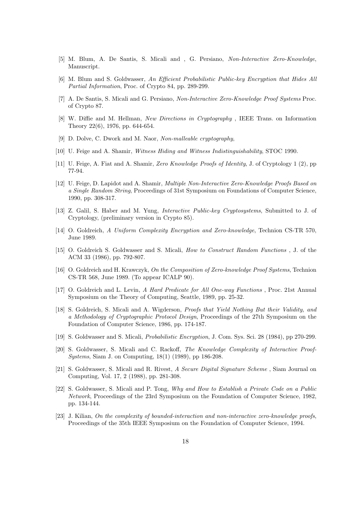- [5] M. Blum, A. De Santis, S. Micali and , G. Persiano, *Non-Interactive Zero-Knowledge*, Manuscript.
- [6] M. Blum and S. Goldwasser, *An Efficient Probabilistic Public-key Encryption that Hides All Partial Information*, Proc. of Crypto 84, pp. 289-299.
- [7] A. De Santis, S. Micali and G. Persiano, *Non-Interactive Zero-Knowledge Proof Systems* Proc. of Crypto 87.
- [8] W. Diffie and M. Hellman, *New Directions in Cryptography* , IEEE Trans. on Information Theory 22(6), 1976, pp. 644-654.
- [9] D. Dolve, C. Dwork and M. Naor, *Non-malleable cryptography*,
- [10] U. Feige and A. Shamir, *Witness Hiding and Witness Indistinguishability*, STOC 1990.
- [11] U. Feige, A. Fiat and A. Shamir, *Zero Knowledge Proofs of Identity*, J. of Cryptology 1 (2), pp 77-94.
- [12] U. Feige, D. Lapidot and A. Shamir, *Multiple Non-Interactive Zero-Knowledge Proofs Based on a Single Random String*, Proceedings of 31st Symposium on Foundations of Computer Science, 1990, pp. 308-317.
- [13] Z. Galil, S. Haber and M. Yung, *Interactive Public-key Cryptosystems*, Submitted to J. of Cryptology, (preliminary version in Crypto 85).
- [14] O. Goldreich, *A Uniform Complexity Encryption and Zero-knowledge*, Technion CS-TR 570, June 1989.
- [15] O. Goldreich S. Goldwasser and S. Micali, *How to Construct Random Functions* , J. of the ACM 33 (1986), pp. 792-807.
- [16] O. Goldreich and H. Krawczyk, *On the Composition of Zero-knowledge Proof Systems*, Technion CS-TR 568, June 1989. (To appear ICALP 90).
- [17] O. Goldreich and L. Levin, *A Hard Predicate for All One-way Functions* , Proc. 21st Annual Symposium on the Theory of Computing, Seattle, 1989, pp. 25-32.
- [18] S. Goldreich, S. Micali and A. Wigderson, *Proofs that Yield Nothing But their Validity, and a Methodology of Cryptographic Protocol Design*, Proceedings of the 27th Symposium on the Foundation of Computer Science, 1986, pp. 174-187.
- [19] S. Goldwasser and S. Micali, *Probabilistic Encryption*, J. Com. Sys. Sci. 28 (1984), pp 270-299.
- [20] S. Goldwasser, S. Micali and C. Rackoff, *The Knowledge Complexity of Interactive Proof-Systems*, Siam J. on Computing, 18(1) (1989), pp 186-208.
- [21] S. Goldwasser, S. Micali and R. Rivest, *A Secure Digital Signature Scheme* , Siam Journal on Computing, Vol. 17, 2 (1988), pp. 281-308.
- [22] S. Goldwasser, S. Micali and P. Tong, *Why and How to Establish a Private Code on a Public Network*, Proceedings of the 23rd Symposium on the Foundation of Computer Science, 1982, pp. 134-144.
- [23] J. Kilian, *On the complexity of bounded-interaction and non-interactive zero-knowledge proofs*, Proceedings of the 35th IEEE Symposium on the Foundation of Computer Science, 1994.